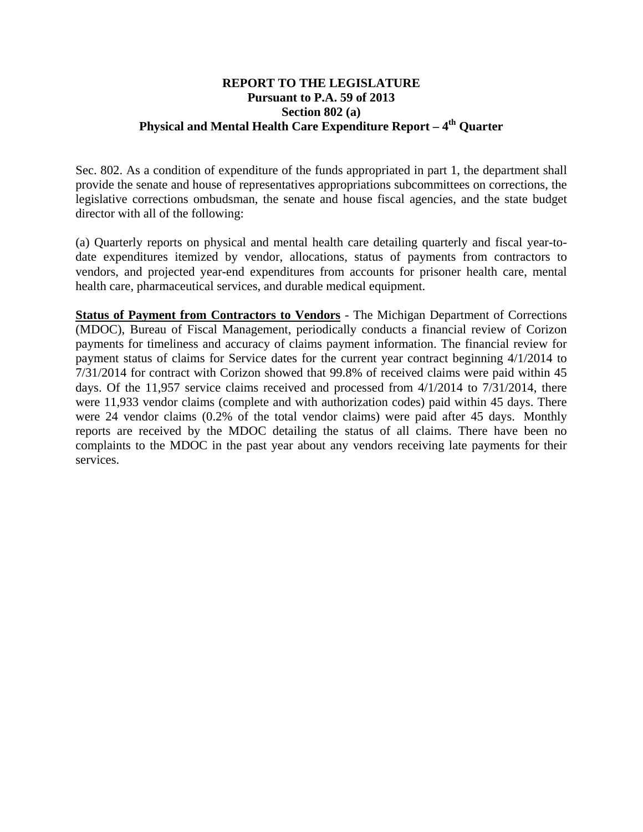## **REPORT TO THE LEGISLATURE Pursuant to P.A. 59 of 2013 Section 802 (a) Physical and Mental Health Care Expenditure Report – 4<sup>th</sup> Ouarter**

Sec. 802. As a condition of expenditure of the funds appropriated in part 1, the department shall provide the senate and house of representatives appropriations subcommittees on corrections, the legislative corrections ombudsman, the senate and house fiscal agencies, and the state budget director with all of the following:

(a) Quarterly reports on physical and mental health care detailing quarterly and fiscal year-todate expenditures itemized by vendor, allocations, status of payments from contractors to vendors, and projected year-end expenditures from accounts for prisoner health care, mental health care, pharmaceutical services, and durable medical equipment.

**Status of Payment from Contractors to Vendors** - The Michigan Department of Corrections (MDOC), Bureau of Fiscal Management, periodically conducts a financial review of Corizon payments for timeliness and accuracy of claims payment information. The financial review for payment status of claims for Service dates for the current year contract beginning 4/1/2014 to 7/31/2014 for contract with Corizon showed that 99.8% of received claims were paid within 45 days. Of the 11,957 service claims received and processed from 4/1/2014 to 7/31/2014, there were 11,933 vendor claims (complete and with authorization codes) paid within 45 days. There were 24 vendor claims (0.2% of the total vendor claims) were paid after 45 days. Monthly reports are received by the MDOC detailing the status of all claims. There have been no complaints to the MDOC in the past year about any vendors receiving late payments for their services.